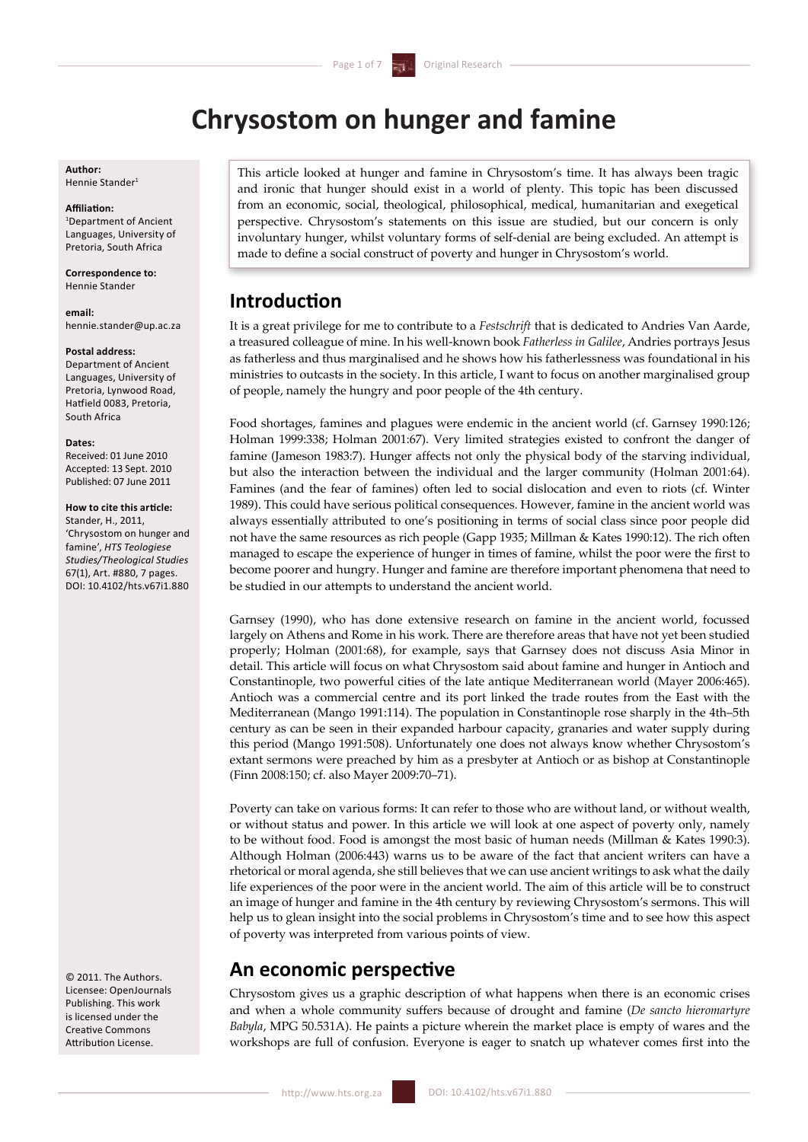# **Chrysostom on hunger and famine**

**Author:**  Hennie Stander<sup>1</sup>

#### **Affiliation:**

1 Department of Ancient Languages, University of Pretoria, South Africa

**Correspondence to:**  Hennie Stander

**email:** hennie.stander@up.ac.za

#### **Postal address:**

Department of Ancient Languages, University of Pretoria, Lynwood Road, Hatfield 0083, Pretoria, South Africa

#### **Dates:**

Received: 01 June 2010 Accepted: 13 Sept. 2010 Published: 07 June 2011

#### **How to cite this article:**

Stander, H., 2011, 'Chrysostom on hunger and famine', *HTS Teologiese Studies/Theological Studies* 67(1), Art. #880, 7 pages. DOI: 10.4102/hts.v67i1.880

© 2011. The Authors. Licensee: OpenJournals Publishing. This work is licensed under the Creative Commons Attribution License.

This article looked at hunger and famine in Chrysostom's time. It has always been tragic and ironic that hunger should exist in a world of plenty. This topic has been discussed from an economic, social, theological, philosophical, medical, humanitarian and exegetical perspective. Chrysostom's statements on this issue are studied, but our concern is only involuntary hunger, whilst voluntary forms of self-denial are being excluded. An attempt is made to define a social construct of poverty and hunger in Chrysostom's world.

### **Introduction**

It is a great privilege for me to contribute to a *Festschrift* that is dedicated to Andries Van Aarde, a treasured colleague of mine. In his well-known book *Fatherless in Galilee*, Andries portrays Jesus as fatherless and thus marginalised and he shows how his fatherlessness was foundational in his ministries to outcasts in the society. In this article, I want to focus on another marginalised group of people, namely the hungry and poor people of the 4th century.

Food shortages, famines and plagues were endemic in the ancient world (cf. Garnsey 1990:126; Holman 1999:338; Holman 2001:67). Very limited strategies existed to confront the danger of famine (Jameson 1983:7). Hunger affects not only the physical body of the starving individual, but also the interaction between the individual and the larger community (Holman 2001:64). Famines (and the fear of famines) often led to social dislocation and even to riots (cf. Winter 1989). This could have serious political consequences. However, famine in the ancient world was always essentially attributed to one's positioning in terms of social class since poor people did not have the same resources as rich people (Gapp 1935; Millman & Kates 1990:12). The rich often managed to escape the experience of hunger in times of famine, whilst the poor were the first to become poorer and hungry. Hunger and famine are therefore important phenomena that need to be studied in our attempts to understand the ancient world.

Garnsey (1990), who has done extensive research on famine in the ancient world, focussed largely on Athens and Rome in his work. There are therefore areas that have not yet been studied properly; Holman (2001:68), for example, says that Garnsey does not discuss Asia Minor in detail. This article will focus on what Chrysostom said about famine and hunger in Antioch and Constantinople, two powerful cities of the late antique Mediterranean world (Mayer 2006:465). Antioch was a commercial centre and its port linked the trade routes from the East with the Mediterranean (Mango 1991:114). The population in Constantinople rose sharply in the 4th–5th century as can be seen in their expanded harbour capacity, granaries and water supply during this period (Mango 1991:508). Unfortunately one does not always know whether Chrysostom's extant sermons were preached by him as a presbyter at Antioch or as bishop at Constantinople (Finn 2008:150; cf. also Mayer 2009:70–71).

Poverty can take on various forms: It can refer to those who are without land, or without wealth, or without status and power. In this article we will look at one aspect of poverty only, namely to be without food. Food is amongst the most basic of human needs (Millman & Kates 1990:3). Although Holman (2006:443) warns us to be aware of the fact that ancient writers can have a rhetorical or moral agenda, she still believes that we can use ancient writings to ask what the daily life experiences of the poor were in the ancient world. The aim of this article will be to construct an image of hunger and famine in the 4th century by reviewing Chrysostom's sermons. This will help us to glean insight into the social problems in Chrysostom's time and to see how this aspect of poverty was interpreted from various points of view.

#### **An economic perspective**

Chrysostom gives us a graphic description of what happens when there is an economic crises and when a whole community suffers because of drought and famine (*De sancto hieromartyre Babyla*, MPG 50.531A). He paints a picture wherein the market place is empty of wares and the workshops are full of confusion. Everyone is eager to snatch up whatever comes first into the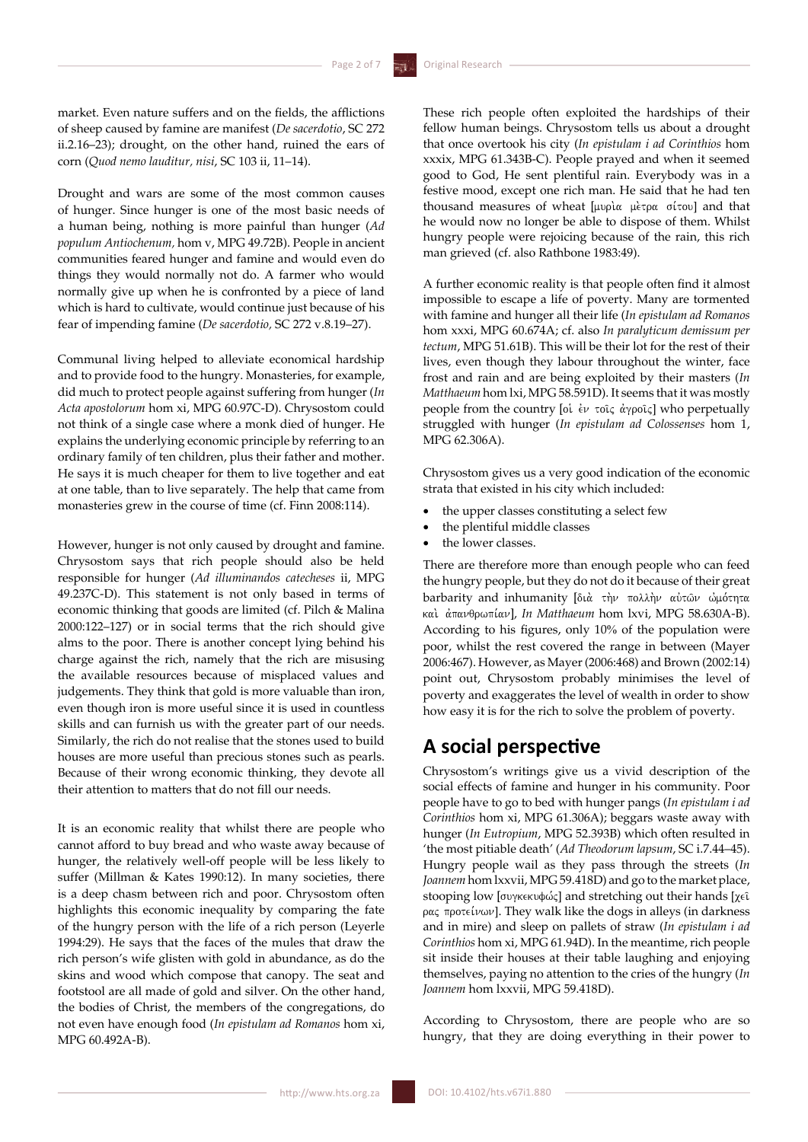market. Even nature suffers and on the fields, the afflictions of sheep caused by famine are manifest (*De sacerdotio*, SC 272 ii.2.16–23); drought, on the other hand, ruined the ears of corn (*Quod nemo lauditur, nisi*, SC 103 ii, 11–14).

Drought and wars are some of the most common causes of hunger. Since hunger is one of the most basic needs of a human being, nothing is more painful than hunger (*Ad populum Antiochenum,* hom v, MPG 49.72B). People in ancient communities feared hunger and famine and would even do things they would normally not do. A farmer who would normally give up when he is confronted by a piece of land which is hard to cultivate, would continue just because of his fear of impending famine (*De sacerdotio,* SC 272 v.8.19–27).

Communal living helped to alleviate economical hardship and to provide food to the hungry. Monasteries, for example, did much to protect people against suffering from hunger (*In Acta apostolorum* hom xi, MPG 60.97C-D). Chrysostom could not think of a single case where a monk died of hunger. He explains the underlying economic principle by referring to an ordinary family of ten children, plus their father and mother. He says it is much cheaper for them to live together and eat at one table, than to live separately. The help that came from monasteries grew in the course of time (cf. Finn 2008:114).

However, hunger is not only caused by drought and famine. Chrysostom says that rich people should also be held responsible for hunger (*Ad illuminandos catecheses* ii, MPG 49.237C-D). This statement is not only based in terms of economic thinking that goods are limited (cf. Pilch & Malina 2000:122–127) or in social terms that the rich should give alms to the poor. There is another concept lying behind his charge against the rich, namely that the rich are misusing the available resources because of misplaced values and judgements. They think that gold is more valuable than iron, even though iron is more useful since it is used in countless skills and can furnish us with the greater part of our needs. Similarly, the rich do not realise that the stones used to build houses are more useful than precious stones such as pearls. Because of their wrong economic thinking, they devote all their attention to matters that do not fill our needs.

It is an economic reality that whilst there are people who cannot afford to buy bread and who waste away because of hunger, the relatively well-off people will be less likely to suffer (Millman & Kates 1990:12). In many societies, there is a deep chasm between rich and poor. Chrysostom often highlights this economic inequality by comparing the fate of the hungry person with the life of a rich person (Leyerle 1994:29). He says that the faces of the mules that draw the rich person's wife glisten with gold in abundance, as do the skins and wood which compose that canopy. The seat and footstool are all made of gold and silver. On the other hand, the bodies of Christ, the members of the congregations, do not even have enough food (*In epistulam ad Romanos* hom xi, MPG 60.492A-B).

These rich people often exploited the hardships of their fellow human beings. Chrysostom tells us about a drought that once overtook his city (*In epistulam i ad Corinthios* hom xxxix, MPG 61.343B-C). People prayed and when it seemed good to God, He sent plentiful rain. Everybody was in a festive mood, except one rich man. He said that he had ten thousand measures of wheat  $[\mu\nu\rho]$  and  $\mu\uparrow\sigma$   $\sigma$  and that he would now no longer be able to dispose of them. Whilst hungry people were rejoicing because of the rain, this rich man grieved (cf. also Rathbone 1983:49).

A further economic reality is that people often find it almost impossible to escape a life of poverty. Many are tormented with famine and hunger all their life (*In epistulam ad Romanos* hom xxxi, MPG 60.674A; cf. also *In paralyticum demissum per tectum*, MPG 51.61B). This will be their lot for the rest of their lives, even though they labour throughout the winter, face frost and rain and are being exploited by their masters (*In Matthaeum* hom lxi, MPG 58.591D). It seems that it was mostly people from the country [oi  $\epsilon \nu$  toic αγροις] who perpetually struggled with hunger (*In epistulam ad Colossenses* hom 1, MPG 62.306A).

Chrysostom gives us a very good indication of the economic strata that existed in his city which included:

- • the upper classes constituting a select few
- the plentiful middle classes
- the lower classes.

There are therefore more than enough people who can feed the hungry people, but they do not do it because of their great barbarity and inhumanity [διά την πολλήν αύτων ώμότητα και άπανθρωπίαν], *In Matthaeum* hom lxvi, MPG 58.630A-B). According to his figures, only 10% of the population were poor, whilst the rest covered the range in between (Mayer 2006:467). However, as Mayer (2006:468) and Brown (2002:14) point out, Chrysostom probably minimises the level of poverty and exaggerates the level of wealth in order to show how easy it is for the rich to solve the problem of poverty.

### **A social perspective**

Chrysostom's writings give us a vivid description of the social effects of famine and hunger in his community. Poor people have to go to bed with hunger pangs (*In epistulam i ad Corinthios* hom xi, MPG 61.306A); beggars waste away with hunger (*In Eutropium*, MPG 52.393B) which often resulted in 'the most pitiable death' (*Ad Theodorum lapsum*, SC i.7.44–45). Hungry people wail as they pass through the streets (*In Joannem* hom lxxvii, MPG 59.418D) and go to the market place, stooping low [συγκεκυφώς] and stretching out their hands [χει  $ρας προτείνων]. They walk like the dogs in alleys (in darkness$ and in mire) and sleep on pallets of straw (*In epistulam i ad Corinthios* hom xi, MPG 61.94D). In the meantime, rich people sit inside their houses at their table laughing and enjoying themselves, paying no attention to the cries of the hungry (*In Joannem* hom lxxvii, MPG 59.418D).

According to Chrysostom, there are people who are so hungry, that they are doing everything in their power to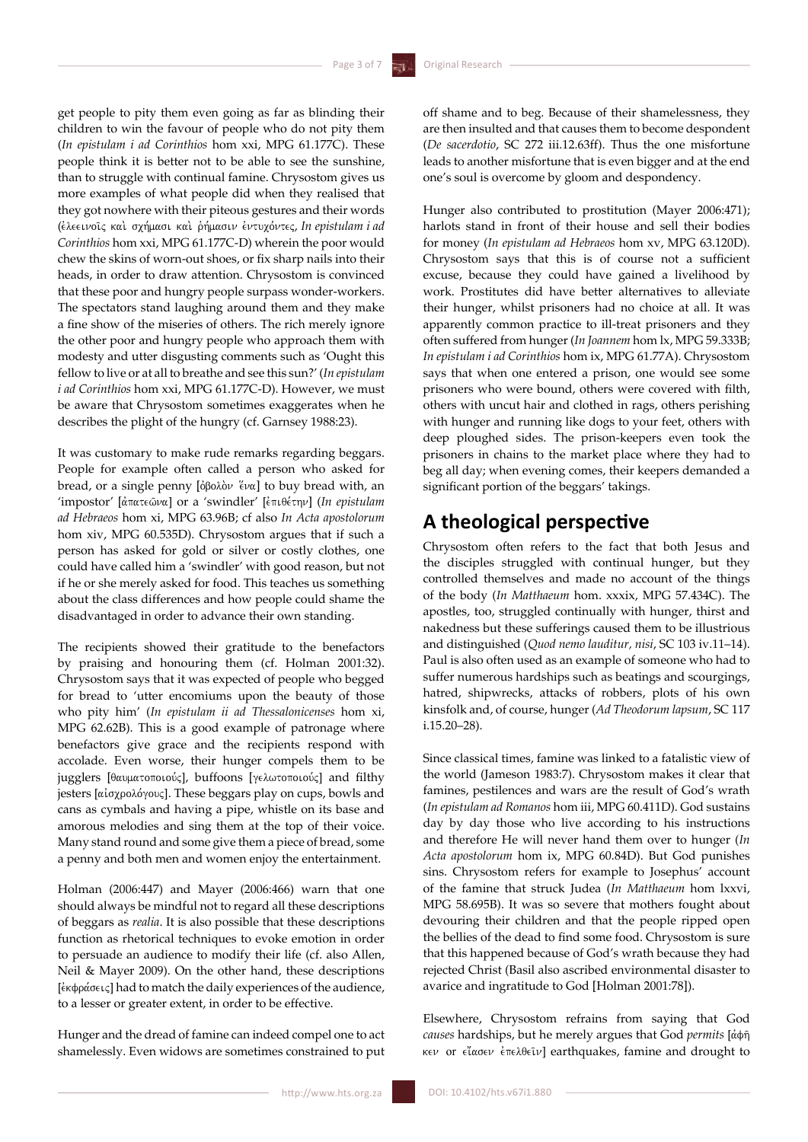get people to pity them even going as far as blinding their children to win the favour of people who do not pity them (*In epistulam i ad Corinthios* hom xxi, MPG 61.177C). These people think it is better not to be able to see the sunshine, than to struggle with continual famine. Chrysostom gives us more examples of what people did when they realised that they got nowhere with their piteous gestures and their words (ελεεινοίς και σχήμασι και ρήμασιν εντυχόντες, In epistulam i ad *Corinthios* hom xxi, MPG 61.177C-D) wherein the poor would chew the skins of worn-out shoes, or fix sharp nails into their heads, in order to draw attention. Chrysostom is convinced that these poor and hungry people surpass wonder-workers. The spectators stand laughing around them and they make a fine show of the miseries of others. The rich merely ignore the other poor and hungry people who approach them with modesty and utter disgusting comments such as 'Ought this fellow to live or at all to breathe and see this sun?' (*In epistulam i ad Corinthios* hom xxi, MPG 61.177C-D). However, we must be aware that Chrysostom sometimes exaggerates when he describes the plight of the hungry (cf. Garnsey 1988:23).

It was customary to make rude remarks regarding beggars. People for example often called a person who asked for bread, or a single penny  $\begin{bmatrix} \frac{\partial \beta}{\partial u} & \frac{\partial^2 u}{\partial v} \end{bmatrix}$  to buy bread with, an 'impostor' [ἀπατεῶνα] or a 'swindler' [ἐπιθέτην] (*In epistulam ad Hebraeos* hom xi, MPG 63.96B; cf also *In Acta apostolorum* hom xiv, MPG 60.535D). Chrysostom argues that if such a person has asked for gold or silver or costly clothes, one could have called him a 'swindler' with good reason, but not if he or she merely asked for food. This teaches us something about the class differences and how people could shame the disadvantaged in order to advance their own standing.

The recipients showed their gratitude to the benefactors by praising and honouring them (cf. Holman 2001:32). Chrysostom says that it was expected of people who begged for bread to 'utter encomiums upon the beauty of those who pity him' (*In epistulam ii ad Thessalonicenses* hom xi, MPG 62.62B). This is a good example of patronage where benefactors give grace and the recipients respond with accolade. Even worse, their hunger compels them to be jugglers [θαυματοποιούς], buffoons [γελωτοποιούς] and filthy jesters [αίσχρολόγους]. These beggars play on cups, bowls and cans as cymbals and having a pipe, whistle on its base and amorous melodies and sing them at the top of their voice. Many stand round and some give them a piece of bread, some a penny and both men and women enjoy the entertainment.

Holman (2006:447) and Mayer (2006:466) warn that one should always be mindful not to regard all these descriptions of beggars as *realia*. It is also possible that these descriptions function as rhetorical techniques to evoke emotion in order to persuade an audience to modify their life (cf. also Allen, Neil & Mayer 2009). On the other hand, these descriptions  $[\dot{\epsilon}\kappa\varphi\rho\acute{\alpha}\sigma\epsilon\iota\varsigma]$  had to match the daily experiences of the audience, to a lesser or greater extent, in order to be effective.

Hunger and the dread of famine can indeed compel one to act shamelessly. Even widows are sometimes constrained to put

off shame and to beg. Because of their shamelessness, they are then insulted and that causes them to become despondent (*De sacerdotio*, SC 272 iii.12.63ff). Thus the one misfortune leads to another misfortune that is even bigger and at the end one's soul is overcome by gloom and despondency.

Hunger also contributed to prostitution (Mayer 2006:471); harlots stand in front of their house and sell their bodies for money (*In epistulam ad Hebraeos* hom xv, MPG 63.120D). Chrysostom says that this is of course not a sufficient excuse, because they could have gained a livelihood by work. Prostitutes did have better alternatives to alleviate their hunger, whilst prisoners had no choice at all. It was apparently common practice to ill-treat prisoners and they often suffered from hunger (*In Joannem* hom lx, MPG 59.333B; *In epistulam i ad Corinthios* hom ix, MPG 61.77A). Chrysostom says that when one entered a prison, one would see some prisoners who were bound, others were covered with filth, others with uncut hair and clothed in rags, others perishing with hunger and running like dogs to your feet, others with deep ploughed sides. The prison-keepers even took the prisoners in chains to the market place where they had to beg all day; when evening comes, their keepers demanded a significant portion of the beggars' takings.

## **A theological perspective**

Chrysostom often refers to the fact that both Jesus and the disciples struggled with continual hunger, but they controlled themselves and made no account of the things of the body (*In Matthaeum* hom. xxxix, MPG 57.434C). The apostles, too, struggled continually with hunger, thirst and nakedness but these sufferings caused them to be illustrious and distinguished (*Quod nemo lauditur, nisi*, SC 103 iv.11–14). Paul is also often used as an example of someone who had to suffer numerous hardships such as beatings and scourgings, hatred, shipwrecks, attacks of robbers, plots of his own kinsfolk and, of course, hunger (*Ad Theodorum lapsum*, SC 117 i.15.20–28).

Since classical times, famine was linked to a fatalistic view of the world (Jameson 1983:7). Chrysostom makes it clear that famines, pestilences and wars are the result of God's wrath (*In epistulam ad Romanos* hom iii, MPG 60.411D). God sustains day by day those who live according to his instructions and therefore He will never hand them over to hunger (*In Acta apostolorum* hom ix, MPG 60.84D). But God punishes sins. Chrysostom refers for example to Josephus' account of the famine that struck Judea (*In Matthaeum* hom lxxvi, MPG 58.695B). It was so severe that mothers fought about devouring their children and that the people ripped open the bellies of the dead to find some food. Chrysostom is sure that this happened because of God's wrath because they had rejected Christ (Basil also ascribed environmental disaster to avarice and ingratitude to God [Holman 2001:78]).

Elsewhere, Chrysostom refrains from saying that God *causes* hardships, but he merely argues that God *permits* [avfh/ κεν or είασεν έπελθείν] earthquakes, famine and drought to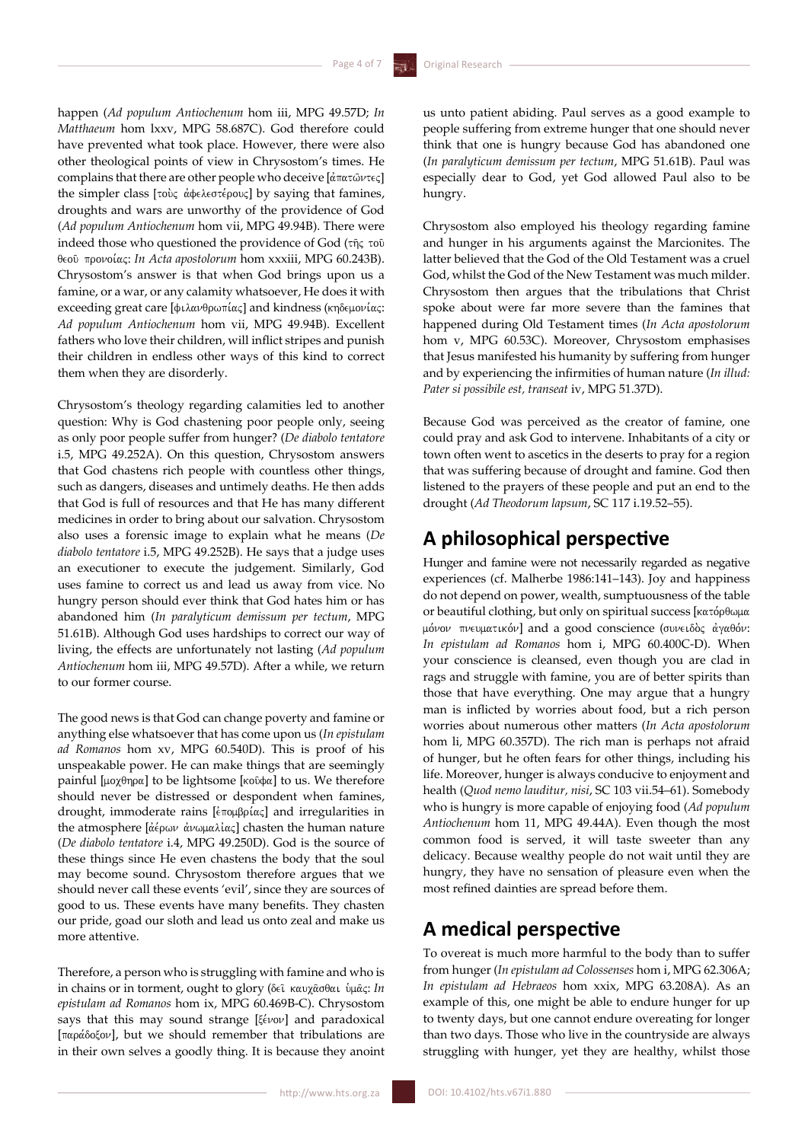happen (*Ad populum Antiochenum* hom iii, MPG 49.57D; *In Matthaeum* hom lxxv, MPG 58.687C). God therefore could have prevented what took place. However, there were also other theological points of view in Chrysostom's times. He complains that there are other people who deceive  $[\dot{\alpha} \pi \alpha \tau \hat{\omega} \nu \tau \epsilon \varsigma]$ the simpler class [τοὺς ἀφελεστέρους] by saying that famines, droughts and wars are unworthy of the providence of God (*Ad populum Antiochenum* hom vii, MPG 49.94B). There were indeed those who questioned the providence of God ( $\tau$  $\hat{\eta}$   $\zeta$   $\tau$ o $\hat{\upsilon}$ ) θεού προνοίας: *In Acta apostolorum* hom xxxiii, MPG 60.243B). Chrysostom's answer is that when God brings upon us a famine, or a war, or any calamity whatsoever, He does it with exceeding great care [φιλανθρωπίας] and kindness (κηδεμονίας: *Ad populum Antiochenum* hom vii, MPG 49.94B). Excellent fathers who love their children, will inflict stripes and punish their children in endless other ways of this kind to correct them when they are disorderly.

Chrysostom's theology regarding calamities led to another question: Why is God chastening poor people only, seeing as only poor people suffer from hunger? (*De diabolo tentatore* i.5, MPG 49.252A). On this question, Chrysostom answers that God chastens rich people with countless other things, such as dangers, diseases and untimely deaths. He then adds that God is full of resources and that He has many different medicines in order to bring about our salvation. Chrysostom also uses a forensic image to explain what he means (*De diabolo tentatore* i.5, MPG 49.252B). He says that a judge uses an executioner to execute the judgement. Similarly, God uses famine to correct us and lead us away from vice. No hungry person should ever think that God hates him or has abandoned him (*In paralyticum demissum per tectum*, MPG 51.61B). Although God uses hardships to correct our way of living, the effects are unfortunately not lasting (*Ad populum Antiochenum* hom iii, MPG 49.57D). After a while, we return to our former course.

The good news is that God can change poverty and famine or anything else whatsoever that has come upon us (*In epistulam ad Romanos* hom xv, MPG 60.540D). This is proof of his unspeakable power. He can make things that are seemingly painful  $[\mu o \chi \theta \eta \rho \alpha]$  to be lightsome  $[\kappa o \hat{v} \phi \alpha]$  to us. We therefore should never be distressed or despondent when famines, drought, immoderate rains [ἐπομβρίας] and irregularities in the atmosphere  $[\dot{\alpha} \dot{\epsilon} \rho \omega \nu \dot{\alpha} \nu \omega \mu \alpha \lambda \dot{\alpha} \zeta]$  chasten the human nature (*De diabolo tentatore* i.4, MPG 49.250D). God is the source of these things since He even chastens the body that the soul may become sound. Chrysostom therefore argues that we should never call these events 'evil', since they are sources of good to us. These events have many benefits. They chasten our pride, goad our sloth and lead us onto zeal and make us more attentive.

Therefore, a person who is struggling with famine and who is in chains or in torment, ought to glory (δεῖ καυχᾶσθαι ὑμᾶς: *In epistulam ad Romanos* hom ix, MPG 60.469B-C). Chrysostom says that this may sound strange  $[\xi \in V \circ V]$  and paradoxical [παράδοξον], but we should remember that tribulations are in their own selves a goodly thing. It is because they anoint

us unto patient abiding. Paul serves as a good example to people suffering from extreme hunger that one should never think that one is hungry because God has abandoned one (*In paralyticum demissum per tectum*, MPG 51.61B). Paul was especially dear to God, yet God allowed Paul also to be hungry.

Chrysostom also employed his theology regarding famine and hunger in his arguments against the Marcionites. The latter believed that the God of the Old Testament was a cruel God, whilst the God of the New Testament was much milder. Chrysostom then argues that the tribulations that Christ spoke about were far more severe than the famines that happened during Old Testament times (*In Acta apostolorum* hom v, MPG 60.53C). Moreover, Chrysostom emphasises that Jesus manifested his humanity by suffering from hunger and by experiencing the infirmities of human nature (*In illud: Pater si possibile est, transeat* iv, MPG 51.37D).

Because God was perceived as the creator of famine, one could pray and ask God to intervene. Inhabitants of a city or town often went to ascetics in the deserts to pray for a region that was suffering because of drought and famine. God then listened to the prayers of these people and put an end to the drought (*Ad Theodorum lapsum*, SC 117 i.19.52–55).

## **A philosophical perspective**

Hunger and famine were not necessarily regarded as negative experiences (cf. Malherbe 1986:141–143). Joy and happiness do not depend on power, wealth, sumptuousness of the table or beautiful clothing, but only on spiritual success [κατόρθωμα μόνον πνευματικόν] and a good conscience (συνειδὸς ἀγαθόν: *In epistulam ad Romanos* hom i, MPG 60.400C-D). When your conscience is cleansed, even though you are clad in rags and struggle with famine, you are of better spirits than those that have everything. One may argue that a hungry man is inflicted by worries about food, but a rich person worries about numerous other matters (*In Acta apostolorum* hom li, MPG 60.357D). The rich man is perhaps not afraid of hunger, but he often fears for other things, including his life. Moreover, hunger is always conducive to enjoyment and health (*Quod nemo lauditur, nisi*, SC 103 vii.54–61). Somebody who is hungry is more capable of enjoying food (*Ad populum Antiochenum* hom 11, MPG 49.44A). Even though the most common food is served, it will taste sweeter than any delicacy. Because wealthy people do not wait until they are hungry, they have no sensation of pleasure even when the most refined dainties are spread before them.

## **A medical perspective**

To overeat is much more harmful to the body than to suffer from hunger (*In epistulam ad Colossenses* hom i, MPG 62.306A; *In epistulam ad Hebraeos* hom xxix, MPG 63.208A). As an example of this, one might be able to endure hunger for up to twenty days, but one cannot endure overeating for longer than two days. Those who live in the countryside are always struggling with hunger, yet they are healthy, whilst those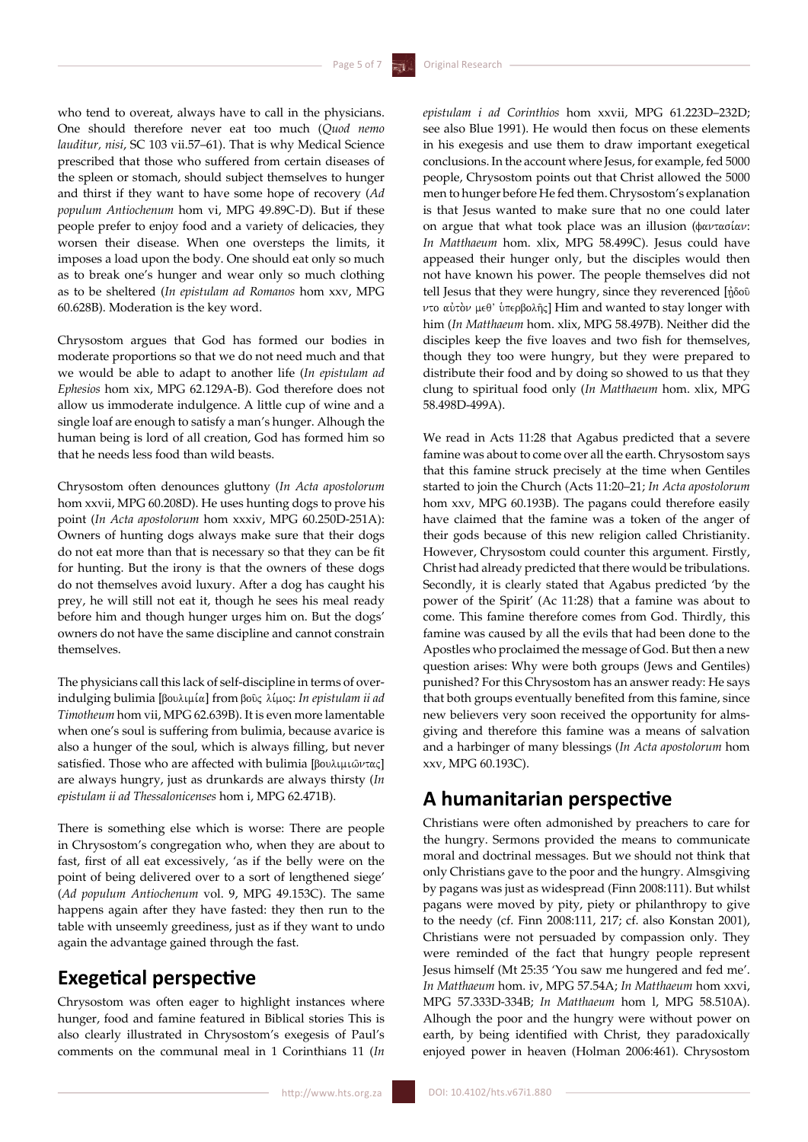who tend to overeat, always have to call in the physicians. One should therefore never eat too much (*Quod nemo lauditur, nisi*, SC 103 vii.57–61). That is why Medical Science prescribed that those who suffered from certain diseases of the spleen or stomach, should subject themselves to hunger and thirst if they want to have some hope of recovery (*Ad populum Antiochenum* hom vi, MPG 49.89C-D). But if these people prefer to enjoy food and a variety of delicacies, they worsen their disease. When one oversteps the limits, it imposes a load upon the body. One should eat only so much as to break one's hunger and wear only so much clothing as to be sheltered (*In epistulam ad Romanos* hom xxv, MPG 60.628B). Moderation is the key word.

Chrysostom argues that God has formed our bodies in moderate proportions so that we do not need much and that we would be able to adapt to another life (*In epistulam ad Ephesios* hom xix, MPG 62.129A-B). God therefore does not allow us immoderate indulgence. A little cup of wine and a single loaf are enough to satisfy a man's hunger. Alhough the human being is lord of all creation, God has formed him so that he needs less food than wild beasts.

Chrysostom often denounces gluttony (*In Acta apostolorum* hom xxvii, MPG 60.208D). He uses hunting dogs to prove his point (*In Acta apostolorum* hom xxxiv, MPG 60.250D-251A): Owners of hunting dogs always make sure that their dogs do not eat more than that is necessary so that they can be fit for hunting. But the irony is that the owners of these dogs do not themselves avoid luxury. After a dog has caught his prey, he will still not eat it, though he sees his meal ready before him and though hunger urges him on. But the dogs' owners do not have the same discipline and cannot constrain themselves.

The physicians call this lack of self-discipline in terms of overindulging bulimia [βουλιμία] from βοῦς λίμος: *In epistulam ii ad Timotheum* hom vii, MPG 62.639B). It is even more lamentable when one's soul is suffering from bulimia, because avarice is also a hunger of the soul, which is always filling, but never satisfied. Those who are affected with bulimia [βουλιμιῶντας] are always hungry, just as drunkards are always thirsty (*In epistulam ii ad Thessalonicenses* hom i, MPG 62.471B).

There is something else which is worse: There are people in Chrysostom's congregation who, when they are about to fast, first of all eat excessively, 'as if the belly were on the point of being delivered over to a sort of lengthened siege' (*Ad populum Antiochenum* vol. 9, MPG 49.153C). The same happens again after they have fasted: they then run to the table with unseemly greediness, just as if they want to undo again the advantage gained through the fast.

## **Exegetical perspective**

Chrysostom was often eager to highlight instances where hunger, food and famine featured in Biblical stories This is also clearly illustrated in Chrysostom's exegesis of Paul's comments on the communal meal in 1 Corinthians 11 (*In*  *epistulam i ad Corinthios* hom xxvii, MPG 61.223D–232D; see also Blue 1991). He would then focus on these elements in his exegesis and use them to draw important exegetical conclusions. In the account where Jesus, for example, fed 5000 people, Chrysostom points out that Christ allowed the 5000 men to hunger before He fed them. Chrysostom's explanation is that Jesus wanted to make sure that no one could later on argue that what took place was an illusion ( $\phi \alpha \nu \tau \alpha \sigma \alpha \nu$ : *In Matthaeum* hom. xlix, MPG 58.499C). Jesus could have appeased their hunger only, but the disciples would then not have known his power. The people themselves did not tell Jesus that they were hungry, since they reverenced [no00] ντο αύτον μεθ' ύπερβολής] Him and wanted to stay longer with him (*In Matthaeum* hom. xlix, MPG 58.497B). Neither did the disciples keep the five loaves and two fish for themselves, though they too were hungry, but they were prepared to distribute their food and by doing so showed to us that they clung to spiritual food only (*In Matthaeum* hom. xlix, MPG 58.498D-499A).

We read in Acts 11:28 that Agabus predicted that a severe famine was about to come over all the earth. Chrysostom says that this famine struck precisely at the time when Gentiles started to join the Church (Acts 11:20–21; *In Acta apostolorum* hom xxv, MPG 60.193B). The pagans could therefore easily have claimed that the famine was a token of the anger of their gods because of this new religion called Christianity. However, Chrysostom could counter this argument. Firstly, Christ had already predicted that there would be tribulations. Secondly, it is clearly stated that Agabus predicted 'by the power of the Spirit' (Ac 11:28) that a famine was about to come. This famine therefore comes from God. Thirdly, this famine was caused by all the evils that had been done to the Apostles who proclaimed the message of God. But then a new question arises: Why were both groups (Jews and Gentiles) punished? For this Chrysostom has an answer ready: He says that both groups eventually benefited from this famine, since new believers very soon received the opportunity for almsgiving and therefore this famine was a means of salvation and a harbinger of many blessings (*In Acta apostolorum* hom xxv, MPG 60.193C).

## **A humanitarian perspective**

Christians were often admonished by preachers to care for the hungry. Sermons provided the means to communicate moral and doctrinal messages. But we should not think that only Christians gave to the poor and the hungry. Almsgiving by pagans was just as widespread (Finn 2008:111). But whilst pagans were moved by pity, piety or philanthropy to give to the needy (cf. Finn 2008:111, 217; cf. also Konstan 2001), Christians were not persuaded by compassion only. They were reminded of the fact that hungry people represent Jesus himself (Mt 25:35 'You saw me hungered and fed me'. *In Matthaeum* hom. iv, MPG 57.54A; *In Matthaeum* hom xxvi, MPG 57.333D-334B; *In Matthaeum* hom l, MPG 58.510A). Alhough the poor and the hungry were without power on earth, by being identified with Christ, they paradoxically enjoyed power in heaven (Holman 2006:461). Chrysostom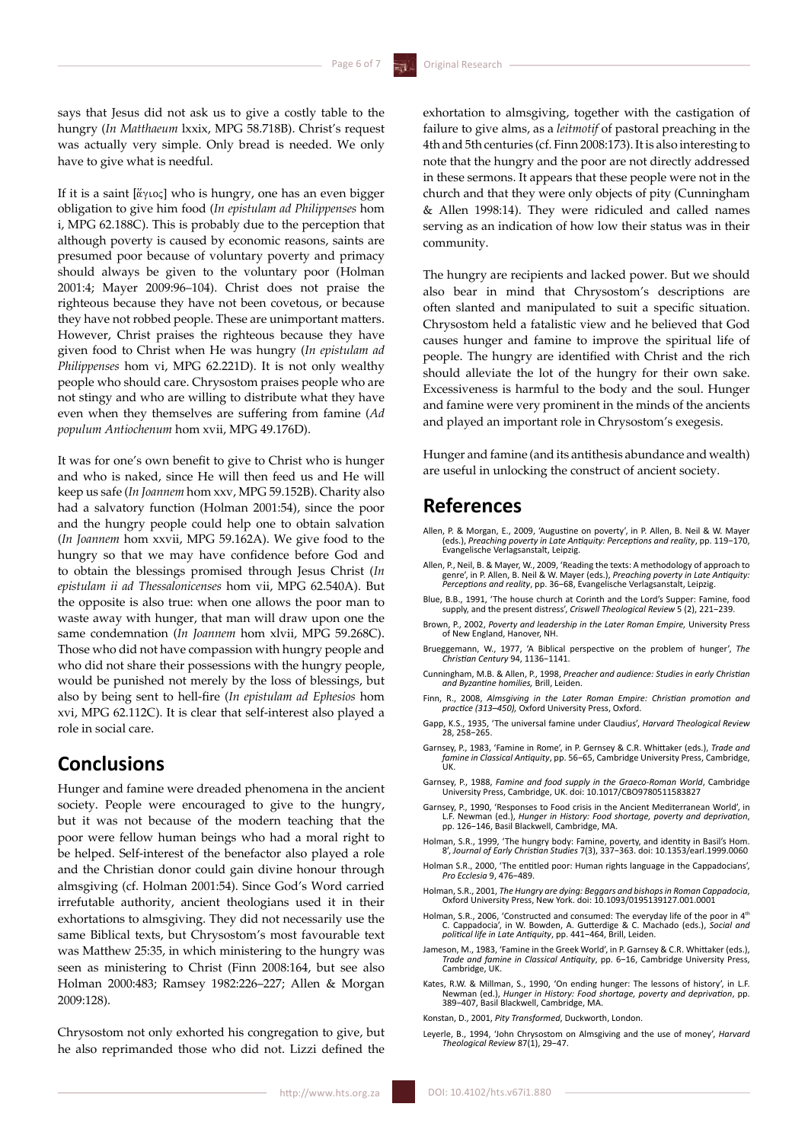says that Jesus did not ask us to give a costly table to the hungry (*In Matthaeum* lxxix, MPG 58.718B). Christ's request was actually very simple. Only bread is needed. We only have to give what is needful.

If it is a saint  $[\frac{a}{2} \nu \circ \varsigma]$  who is hungry, one has an even bigger obligation to give him food (*In epistulam ad Philippenses* hom i, MPG 62.188C). This is probably due to the perception that although poverty is caused by economic reasons, saints are presumed poor because of voluntary poverty and primacy should always be given to the voluntary poor (Holman 2001:4; Mayer 2009:96–104). Christ does not praise the righteous because they have not been covetous, or because they have not robbed people. These are unimportant matters. However, Christ praises the righteous because they have given food to Christ when He was hungry (*In epistulam ad Philippenses* hom vi, MPG 62.221D). It is not only wealthy people who should care. Chrysostom praises people who are not stingy and who are willing to distribute what they have even when they themselves are suffering from famine (*Ad populum Antiochenum* hom xvii, MPG 49.176D).

It was for one's own benefit to give to Christ who is hunger and who is naked, since He will then feed us and He will keep us safe (*In Joannem* hom xxv, MPG 59.152B). Charity also had a salvatory function (Holman 2001:54), since the poor and the hungry people could help one to obtain salvation (*In Joannem* hom xxvii, MPG 59.162A). We give food to the hungry so that we may have confidence before God and to obtain the blessings promised through Jesus Christ (*In epistulam ii ad Thessalonicenses* hom vii, MPG 62.540A). But the opposite is also true: when one allows the poor man to waste away with hunger, that man will draw upon one the same condemnation (*In Joannem* hom xlvii, MPG 59.268C). Those who did not have compassion with hungry people and who did not share their possessions with the hungry people, would be punished not merely by the loss of blessings, but also by being sent to hell-fire (*In epistulam ad Ephesios* hom xvi, MPG 62.112C). It is clear that self-interest also played a role in social care.

#### **Conclusions**

Hunger and famine were dreaded phenomena in the ancient society. People were encouraged to give to the hungry, but it was not because of the modern teaching that the poor were fellow human beings who had a moral right to be helped. Self-interest of the benefactor also played a role and the Christian donor could gain divine honour through almsgiving (cf. Holman 2001:54). Since God's Word carried irrefutable authority, ancient theologians used it in their exhortations to almsgiving. They did not necessarily use the same Biblical texts, but Chrysostom's most favourable text was Matthew 25:35, in which ministering to the hungry was seen as ministering to Christ (Finn 2008:164, but see also Holman 2000:483; Ramsey 1982:226–227; Allen & Morgan 2009:128).

Chrysostom not only exhorted his congregation to give, but he also reprimanded those who did not. Lizzi defined the

exhortation to almsgiving, together with the castigation of failure to give alms, as a *leitmotif* of pastoral preaching in the 4th and 5th centuries (cf. Finn 2008:173). It is also interesting to note that the hungry and the poor are not directly addressed in these sermons. It appears that these people were not in the church and that they were only objects of pity (Cunningham & Allen 1998:14). They were ridiculed and called names serving as an indication of how low their status was in their community.

The hungry are recipients and lacked power. But we should also bear in mind that Chrysostom's descriptions are often slanted and manipulated to suit a specific situation. Chrysostom held a fatalistic view and he believed that God causes hunger and famine to improve the spiritual life of people. The hungry are identified with Christ and the rich should alleviate the lot of the hungry for their own sake. Excessiveness is harmful to the body and the soul. Hunger and famine were very prominent in the minds of the ancients and played an important role in Chrysostom's exegesis.

Hunger and famine (and its antithesis abundance and wealth) are useful in unlocking the construct of ancient society.

## **References**

- Allen, P. & Morgan, E., 2009, 'Augustine on poverty', in P. Allen, B. Neil & W. Mayer (eds.), *Preaching poverty in Late Antiquity: Perceptions and reality*, pp. 119−170, Evangelische Verlagsanstalt, Leipzig.
- Allen, P., Neil, B. & Mayer, W., 2009, 'Reading the texts: A methodology of approach to genre', in P. Allen, B. Neil & W. Mayer (eds.), *Preaching poverty in Late Antiquity: Perceptions and reality*, pp. 36−68, Evangelische Verlagsanstalt, Leipzig.
- Blue, B.B., 1991, 'The house church at Corinth and the Lord's Supper: Famine, food supply, and the present distress', *Criswell Theological Review* 5 (2), 221−239.
- Brown, P., 2002, *Poverty and leadership in the Later Roman Empire,* University Press of New England, Hanover, NH.
- Brueggemann, W., 1977, 'A Biblical perspective on the problem of hunger', *The Christian Century* 94, 1136−1141.
- Cunningham, M.B. & Allen, P., 1998, *Preacher and audience: Studies in early Christian and Byzantine homilies,* Brill, Leiden.
- Finn, R., 2008, *Almsgiving in the Later Roman Empire: Christian promotion and practice (313–450),* Oxford University Press, Oxford.
- Gapp, K.S., 1935, 'The universal famine under Claudius', *Harvard Theological Review* 28, 258−265.
- Garnsey, P., 1983, 'Famine in Rome', in P. Gernsey & C.R. Whittaker (eds.), *Trade and famine in Classical Antiquity*, pp. 56−65, Cambridge University Press, Cambridge, UK.
- Garnsey, P., 1988, *Famine and food supply in the Graeco-Roman World*, Cambridge University Press, Cambridge, UK. [doi: 10.1017/CBO9780511583827](http://dx.doi.org/10.1017/CBO9780511583827)
- Garnsey, P., 1990, 'Responses to Food crisis in the Ancient Mediterranean World', in L.F. Newman (ed.), *Hunger in History: Food shortage, poverty and deprivation*, pp. 126−146, Basil Blackwell, Cambridge, MA.
- Holman, S.R., 1999, 'The hungry body: Famine, poverty, and identity in Basil's Hom. 8', *Journal of Early Christian Studies* 7(3), 337−363. [doi: 10.1353/earl.1999.0060](http://dx.doi.org/10.1353/earl.1999.0060)
- Holman S.R., 2000, 'The entitled poor: Human rights language in the Cappadocians', *Pro Ecclesia* 9, 476−489.
- Holman, S.R., 2001, *The Hungry are dying: Beggars and bishops in Roman Cappadocia,* Oxford University Press, New York. [doi: 10.1093/0195139127.001.0001](http://dx.doi.org/10.1093/0195139127.001.0001)
- Holman, S.R., 2006, 'Constructed and consumed: The everyday life of the poor in 4th C. Cappadocia', in W. Bowden, A. Gutterdige & C. Machado (eds.), *Social and political life in Late Antiquity*, pp. 441−464, Brill, Leiden.
- Jameson, M., 1983, 'Famine in the Greek World', in P. Garnsey & C.R. Whittaker (eds.), *Trade and famine in Classical Antiquity*, pp. 6−16, Cambridge University Press, Cambridge, UK.
- Kates, R.W. & Millman, S., 1990, 'On ending hunger: The lessons of history', in L.F. Newman (ed.), *Hunger in History: Food shortage, poverty and deprivation*, pp. 389−407, Basil Blackwell, Cambridge, MA.

Konstan, D., 2001, *Pity Transformed*, Duckworth, London.

Leyerle, B., 1994, 'John Chrysostom on Almsgiving and the use of money', *Harvard Theological Review* 87(1), 29−47.